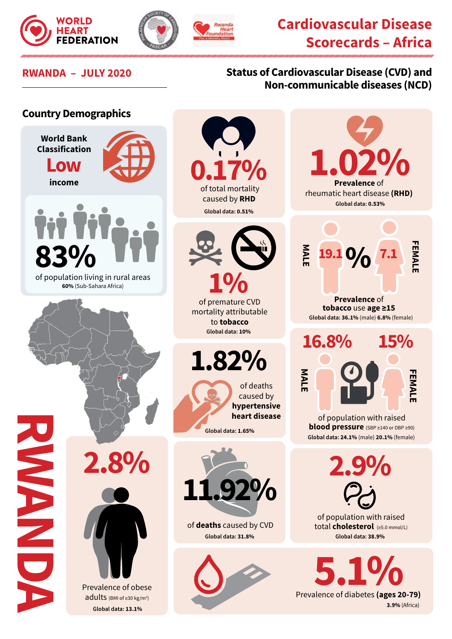



## **Cardiovascular Disease Scorecards – Africa**

## **RWANDA – JULY 2020 Status of Cardiovascular Disease (CVD) and Non-communicable diseases (NCD)**

## **Country Demographics**





 of population living in rural areas **60%** (Sub-Sahara Africa)

**0.17%** caused by **RHD**

**Global data: 0.51%**



mortality attributable to **tobacco Global data: 10%** 

**1.82%**

of deaths caused by **hypertensive heart disease Global data: 1.65%**



of **deaths** caused by CVD **Global data: 31.8%**



**1.02% Prevalence** of rheumatic heart disease **(RHD) Global data: 0.53% FEMALE MALE FEMAL 19.1 0**<sup>/</sup><sub>0</sub><sup>7.1</sup> **Prevalence** of **tobacco** use **age ≥15 Global data: 36.1%** (male) **6.8%** (female) **16.8% 15% MALE** of population with raised **blood pressure** (SBP ≥140 or DBP ≥90)

**Global data: 24.1%** (male) **20.1%** (female)

**2.9%**

of population with raised total **cholesterol** (≥5.0 mmol/L) **Global data: 38.9%**

**5.1% 3.9%** (Africa)

**2.8%**



**RWANDA**

NEW CONTROL